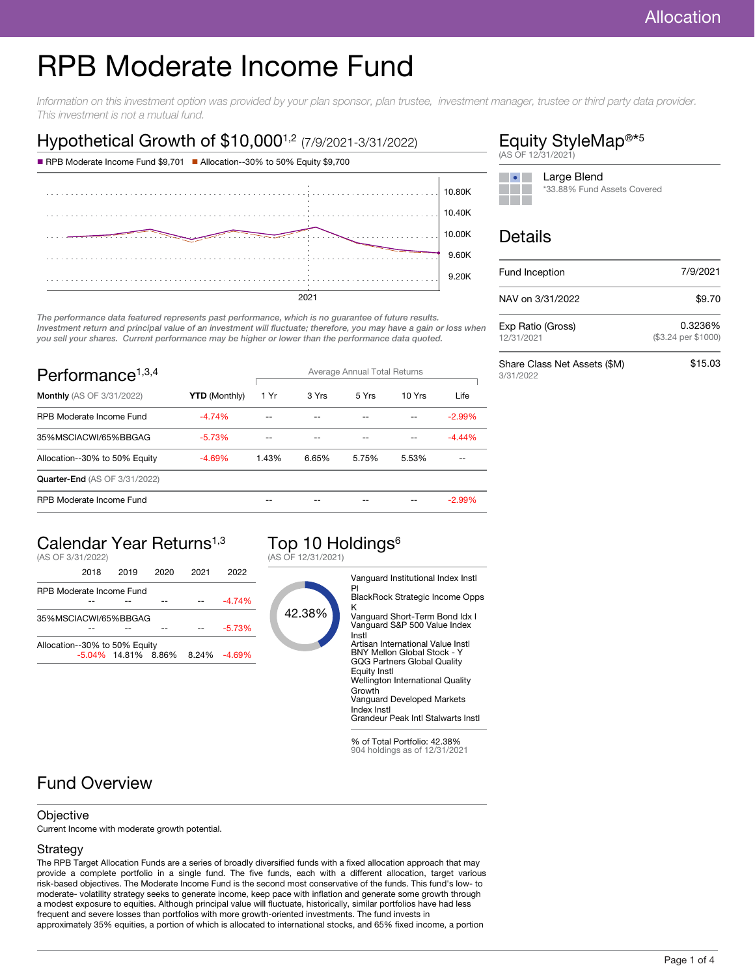# RPB Moderate Income Fund

Information on this investment option was provided by your plan sponsor, plan trustee, investment manager, trustee or third party data provider. This investment is not a mutual fund.

### Hypothetical Growth of \$10,000<sup>1,2</sup> (7/9/2021-3/31/2022)





The performance data featured represents past performance, which is no guarantee of future results. Investment return and principal value of an investment will fluctuate; therefore, you may have a gain or loss when you sell your shares. Current performance may be higher or lower than the performance data quoted.

| Performance <sup>1,3,4</sup>         |                      | Average Annual Total Returns |       |       |        |           |
|--------------------------------------|----------------------|------------------------------|-------|-------|--------|-----------|
| <b>Monthly</b> (AS OF 3/31/2022)     | <b>YTD</b> (Monthly) | 1 Yr                         | 3 Yrs | 5 Yrs | 10 Yrs | Life      |
| RPB Moderate Income Fund             | $-4.74%$             |                              |       |       |        | $-2.99\%$ |
| 35%MSCIACWI/65%BBGAG                 | $-5.73%$             |                              |       |       |        | $-4.44%$  |
| Allocation--30% to 50% Equity        | $-4.69%$             | 1.43%                        | 6.65% | 5.75% | 5.53%  |           |
| <b>Quarter-End (AS OF 3/31/2022)</b> |                      |                              |       |       |        |           |
| RPB Moderate Income Fund             |                      |                              |       |       |        | $-2.99\%$ |

## Calendar Year Returns1,3

(AS OF 3/31/2022)

|                               | 2018 | 2019                   | 2020 | 2021 | 2022            |
|-------------------------------|------|------------------------|------|------|-----------------|
| RPB Moderate Income Fund      |      |                        |      |      |                 |
|                               |      |                        |      |      | $-4.74%$        |
| 35%MSCIACWI/65%BBGAG          |      |                        |      |      |                 |
|                               |      |                        |      |      | $-5.73%$        |
| Allocation--30% to 50% Equity |      |                        |      |      |                 |
|                               |      | $-5.04\%$ 14.81% 8.86% |      |      | $8.24\%$ -4.69% |
|                               |      |                        |      |      |                 |

#### Top 10 Holdings<sup>6</sup> (AS OF 12/31/2021)



% of Total Portfolio: 42.38% 904 holdings as of 12/31/2021

### Fund Overview

#### **Objective**

Current Income with moderate growth potential.

#### Strategy

The RPB Target Allocation Funds are a series of broadly diversified funds with a fixed allocation approach that may provide a complete portfolio in a single fund. The five funds, each with a different allocation, target various risk-based objectives. The Moderate Income Fund is the second most conservative of the funds. This fund's low- to moderate- volatility strategy seeks to generate income, keep pace with inflation and generate some growth through a modest exposure to equities. Although principal value will fluctuate, historically, similar portfolios have had less frequent and severe losses than portfolios with more growth-oriented investments. The fund invests in approximately 35% equities, a portion of which is allocated to international stocks, and 65% fixed income, a portion

#### Equity StyleMap<sup>®\*5</sup> (AS OF 12/31/2021)



### Details

| Fund Inception                            | 7/9/2021                       |
|-------------------------------------------|--------------------------------|
| NAV on 3/31/2022                          | \$9.70                         |
| Exp Ratio (Gross)<br>12/31/2021           | 0.3236%<br>(\$3.24 per \$1000) |
| Share Class Net Assets (\$M)<br>3/31/2022 | \$15.03                        |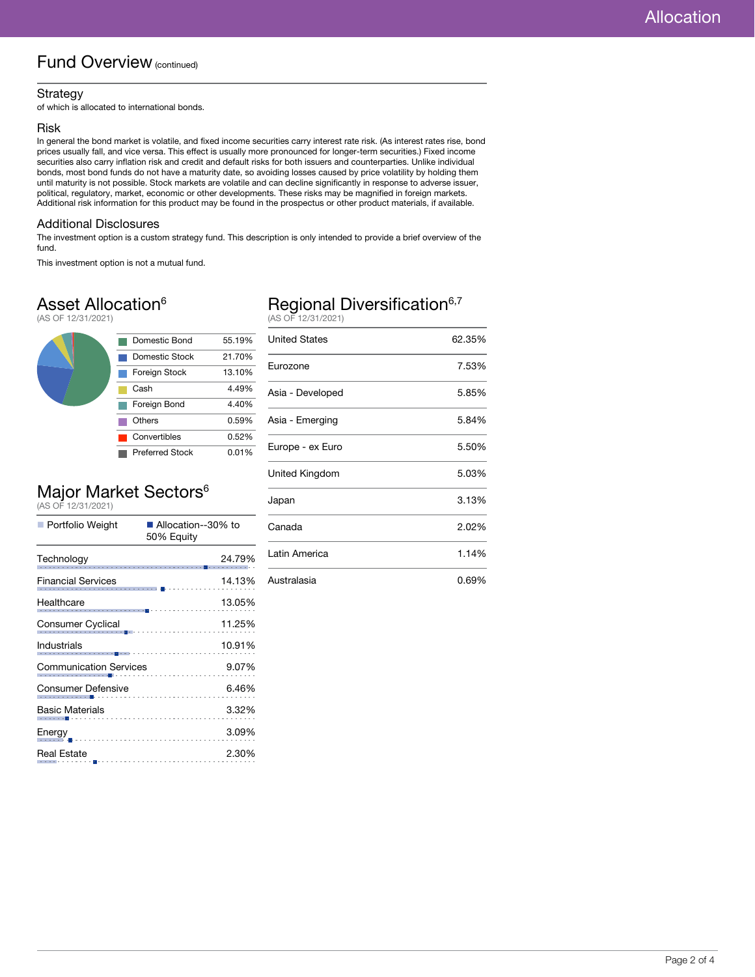### Fund Overview (continued)

#### Strategy

of which is allocated to international bonds.

#### Risk

In general the bond market is volatile, and fixed income securities carry interest rate risk. (As interest rates rise, bond prices usually fall, and vice versa. This effect is usually more pronounced for longer-term securities.) Fixed income securities also carry inflation risk and credit and default risks for both issuers and counterparties. Unlike individual bonds, most bond funds do not have a maturity date, so avoiding losses caused by price volatility by holding them until maturity is not possible. Stock markets are volatile and can decline significantly in response to adverse issuer, political, regulatory, market, economic or other developments. These risks may be magnified in foreign markets. Additional risk information for this product may be found in the prospectus or other product materials, if available.

#### Additional Disclosures

The investment option is a custom strategy fund. This description is only intended to provide a brief overview of the fund.

This investment option is not a mutual fund.

### Asset Allocation<sup>6</sup>

(AS OF 12/31/2021)



# Major Market Sectors<sup>6</sup><br>(AS OF 12/31/2021)

| Portfolio Weight                                                        | ■ Allocation--30% to<br>50% Equity                         |
|-------------------------------------------------------------------------|------------------------------------------------------------|
| Technology                                                              | 24.79%                                                     |
| <b>Financial Services</b>                                               | 14.13%<br>11111111                                         |
| Healthcare                                                              | 13.05%                                                     |
| Consumer Cyclical                                                       | 11.25%<br>noar<br> ---- <mark>-</mark> ------------------- |
| Industrials<br>aio<br>----------- <mark>-</mark> ---------------------- | 10.91%                                                     |
| <b>Communication Services</b>                                           | 9.07%                                                      |
| Consumer Defensive                                                      | 6.46%                                                      |
| Basic Materials<br>. <b>.</b>                                           | 3.32%                                                      |
| Energy                                                                  | 3.09%                                                      |
| <b>Real Estate</b>                                                      | 2.30%                                                      |

# Regional Diversification<sup>6,7</sup><br>(AS OF 12/31/2021)

| <b>United States</b> | 62.35% |
|----------------------|--------|
| Eurozone             | 7.53%  |
| Asia - Developed     | 5.85%  |
| Asia - Emerging      | 5.84%  |
| Europe - ex Euro     | 5.50%  |
| United Kingdom       | 5.03%  |
| Japan                | 3.13%  |
| Canada               | 2.02%  |
| Latin America        | 1.14%  |
| Australasia          | 0.69%  |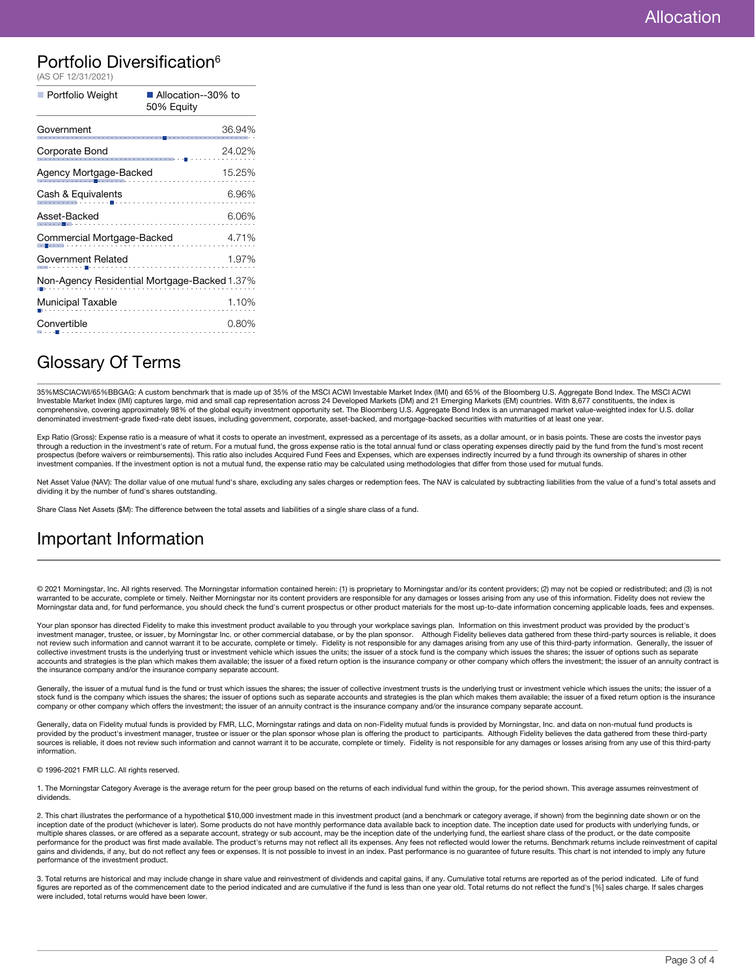### Portfolio Diversification<sup>6</sup>

| (AS OF 12/31/2021)                           |                                    |  |
|----------------------------------------------|------------------------------------|--|
| Portfolio Weight                             | ■ Allocation--30% to<br>50% Equity |  |
| Government                                   | 36.94%                             |  |
| Corporate Bond                               | 24.02%                             |  |
| Agency Mortgage-Backed                       | 15.25%                             |  |
| Cash & Equivalents                           | 6.96%                              |  |
| Asset-Backed                                 | 6.06%                              |  |
| Commercial Mortgage-Backed<br>4.71%          |                                    |  |
| Government Related                           | 1.97%                              |  |
| Non-Agency Residential Mortgage-Backed 1.37% |                                    |  |
| Municipal Taxable                            | 1.10%                              |  |
| Convertible                                  | 0.80%                              |  |
|                                              |                                    |  |

### Glossary Of Terms

35%MSCIACWI/65%BBGAG: A custom benchmark that is made up of 35% of the MSCI ACWI Investable Market Index (IMI) and 65% of the Bloomberg U.S. Aggregate Bond Index. The MSCI ACWI<br>Investable Market Index (IMI) captures large, comprehensive, covering approximately 98% of the global equity investment opportunity set. The Bloomberg U.S. Aggregate Bond Index is an unmanaged market value-weighted index for U.S. dollar denominated investment-grade fixed-rate debt issues, including government, corporate, asset-backed, and mortgage-backed securities with maturities of at least one year.

Exp Ratio (Gross): Expense ratio is a measure of what it costs to operate an investment, expressed as a percentage of its assets, as a dollar amount, or in basis points. These are costs the investor pays through a reduction in the investment's rate of return. For a mutual fund, the gross expense ratio is the total annual fund or class operating expenses directly paid by the fund from the fund's most recent prospectus (before waivers or reimbursements). This ratio also includes Acquired Fund Fees and Expenses, which are expenses indirectly incurred by a fund through its ownership of shares in other investment companies. If the investment option is not a mutual fund, the expense ratio may be calculated using methodologies that differ from those used for mutual funds.

Net Asset Value (NAV): The dollar value of one mutual fund's share, excluding any sales charges or redemption fees. The NAV is calculated by subtracting liabilities from the value of a fund's total assets and dividing it by the number of fund's shares outstanding.

Share Class Net Assets (\$M): The difference between the total assets and liabilities of a single share class of a fund.

### Important Information

© 2021 Morningstar, Inc. All rights reserved. The Morningstar information contained herein: (1) is proprietary to Morningstar and/or its content providers; (2) may not be copied or redistributed; and (3) is not warranted to be accurate, complete or timely. Neither Morningstar nor its content providers are responsible for any damages or losses arising from any use of this information. Fidelity does not review the Morningstar data and, for fund performance, you should check the fund's current prospectus or other product materials for the most up-to-date information concerning applicable loads, fees and expenses.

Your plan sponsor has directed Fidelity to make this investment product available to you through your workplace savings plan. Information on this investment product was provided by the product's investment manager, trustee, or issuer, by Morningstar Inc. or other commercial database, or by the plan sponsor. Although Fidelity believes data gathered from these third-party sources is reliable, it does not review such information and cannot warrant it to be accurate, complete or timely. Fidelity is not responsible for any damages arising from any use of this third-party information. Generally, the issuer of collective investment trusts is the underlying trust or investment vehicle which issues the units; the issuer of a stock fund is the company which issues the shares; the issuer of options such as separate accounts and strategies is the plan which makes them available; the issuer of a fixed return option is the insurance company or other company which offers the investment; the issuer of an annuity contract is the insurance company and/or the insurance company separate account.

Generally, the issuer of a mutual fund is the fund or trust which issues the shares; the issuer of collective investment trusts is the underlying trust or investment vehicle which issues the units; the issuer of a stock fund is the company which issues the shares; the issuer of options such as separate accounts and strategies is the plan which makes them available; the issuer of a fixed return option is the insurance company or other company which offers the investment; the issuer of an annuity contract is the insurance company and/or the insurance company separate account.

Generally, data on Fidelity mutual funds is provided by FMR, LLC, Morningstar ratings and data on non-Fidelity mutual funds is provided by Morningstar, Inc. and data on non-mutual fund products is provided by the product's investment manager, trustee or issuer or the plan sponsor whose plan is offering the product to participants. Although Fidelity believes the data gathered from these third-party<br>sources is reliab information.

© 1996-2021 FMR LLC. All rights reserved.

1. The Morningstar Category Average is the average return for the peer group based on the returns of each individual fund within the group, for the period shown. This average assumes reinvestment of dividends.

2. This chart illustrates the performance of a hypothetical \$10,000 investment made in this investment product (and a benchmark or category average, if shown) from the beginning date shown or on the<br>inception date of the p multiple shares classes, or are offered as a separate account, strategy or sub account, may be the inception date of the underlying fund, the earliest share class of the product, or the date composite performance for the product was first made available. The product's returns may not reflect all its expenses. Any fees not reflected would lower the returns. Benchmark returns include reinvestment of capital gains and dividends, if any, but do not reflect any fees or expenses. It is not possible to invest in an index. Past performance is no guarantee of future results. This chart is not intended to imply any future performance of the investment product.

3. Total returns are historical and may include change in share value and reinvestment of dividends and capital gains, if any. Cumulative total returns are reported as of the period indicated. Life of fund figures are reported as of the commencement date to the period indicated and are cumulative if the fund is less than one year old. Total returns do not reflect the fund's [%] sales charge. If sales charges were included, total returns would have been lower.